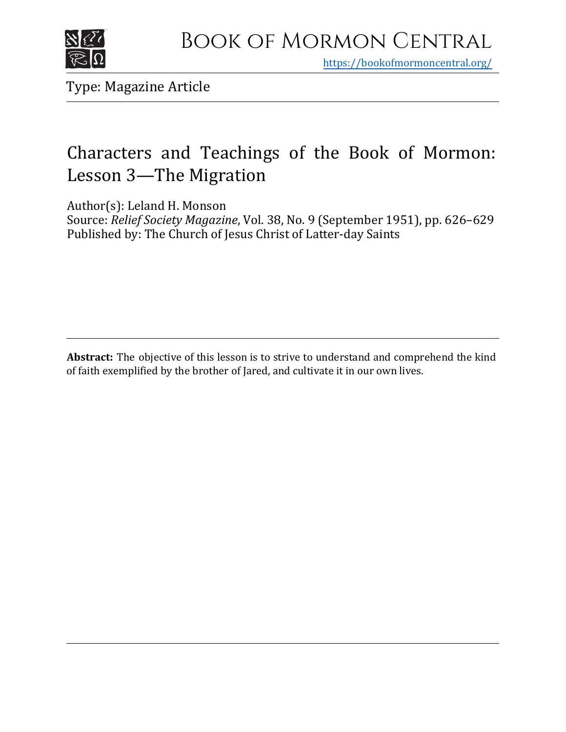

https[://bookofmormoncentral.org/](http://bookofmormoncentral.org/)

Type: Magazine Article

# Characters and Teachings of the Book of Mormon: Lesson 3—The Migration

Author(s): Leland H. Monson

Source: *Relief Society Magazine*, Vol. 38, No. 9 (September 1951), pp. 626–629 Published by: The Church of Jesus Christ of Latter-day Saints

**Abstract:** The objective of this lesson is to strive to understand and comprehend the kind of faith exemplified by the brother of Jared, and cultivate it in our own lives.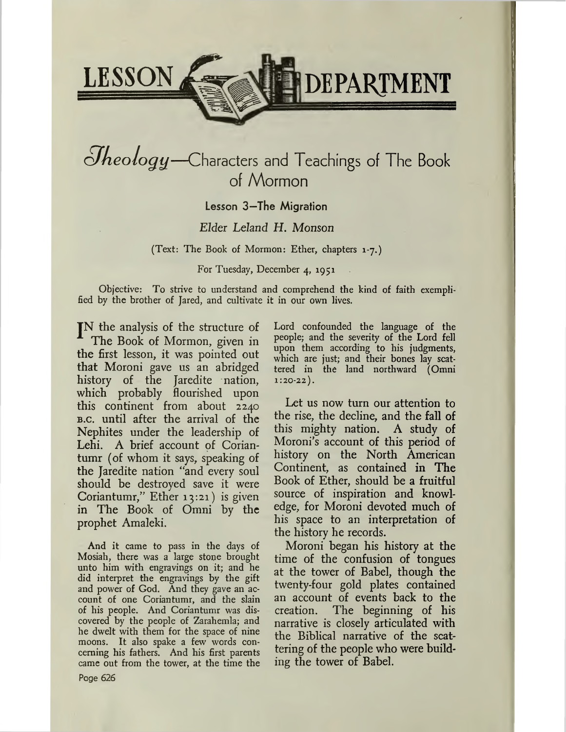

# *cJkeology—*Characters and Teachings of The Book of Mormon

## Lesson 3—The Migration

## *Elder Leland H. Monson*

(Text: The Book of Mormon: Ether, chapters 1-7.)

#### For Tuesday, December 4, 1951

Objective: To strive to understand and comprehend the kind of faith exemplified by the brother of Jared, and cultivate it in our own lives.

JN the analysis of the structure of The Book of Mormon, given in the first lesson, it was pointed out that Moroni gave us an abridged history of the Jaredite nation, which probably flourished upon this continent from about 2240 b.c. until after the arrival of the Nephites under the leadership of Lehi. A brief account of Coriantumr (of whom it says, speaking of the Jaredite nation "and every soul should be destroyed save it were Coriantumr," Ether 13:21) is given in The Book of Omni by the prophet Amaleki.

And it came to pass in the days of Mosiah, there was a large stone brought unto him with engravings on it; and he did interpret the engravings by the gift and power of God. And they gave an account of one Coriantumr, and the slain of his people. And Coriantumr was discovered by the people of Zarahemla; and he dwelt with them for the space of nine moons. It also spake a few words concerning his fathers. And his first parents came out from the tower, at the time the Lord confounded the language of the people; and the severity of the Lord fell upon them according to his judgments, which are just; and their bones lay scattered in the land northward (Omni  $1:20-22$ .

Let us now turn our attention to the rise, the decline, and the fall of this mighty nation. A study of Moroni's account of this period of history on the North American Continent, as contained in The Book of Ether, should be a fruitful source of inspiration and knowledge, for Moroni devoted much of his space to an interpretation of the history he records.

Moroni began his history at the time of the confusion of tongues at the tower of Babel, though the twenty-four gold plates contained an account of events back to the creation. The beginning of his narrative is closely articulated with the Biblical narrative of the scattering of the people who were building the tower of Babel.

Page 626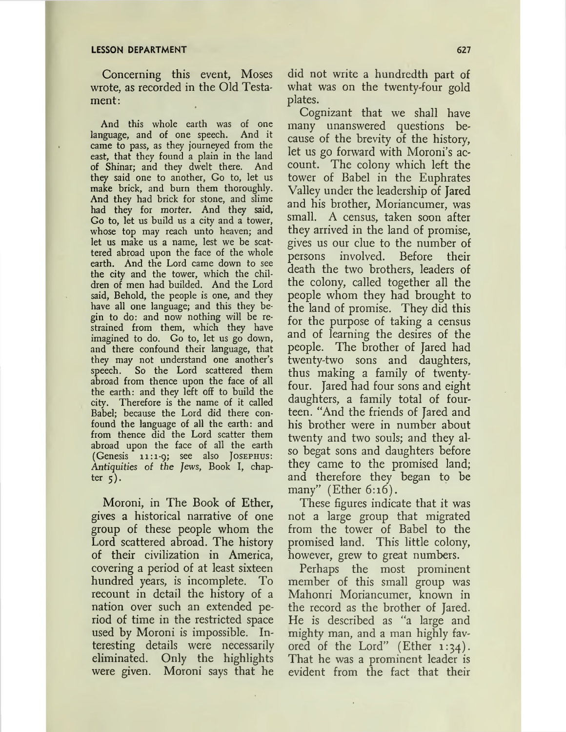Concerning this event, Moses wrote, as recorded in the Old Testament:

And this whole earth was of one language, and of one speech. And it came to pass, as they journeyed from the east, that they found a plain in the land of Shinar; and they dwelt there. And they said one to another, Go to, let us make brick, and burn them thoroughly. And they had brick for stone, and slime had they for morter. And they said, Go to, let us build us a city and a tower, whose top may reach unto heaven; and let us make us a name, lest we be scattered abroad upon the face of the whole earth. And the Lord came down to see the city and the tower, which the children of men had builded. And the Lord said, Behold, the people is one, and they have all one language; and this they begin to do: and now nothing will be restrained from them, which they have imagined to do. Go to, let us go down, and there confound their language, that they may not understand one another's speech. So the Lord scattered them abroad from thence upon the face of all the earth: and they left off to build the city. Therefore is the name of it called Babel; because the Lord did there confound the language of all the earth: and from thence did the Lord scatter them abroad upon the face of all the earth (Genesis 11:1-9; see also Josephus: Antiquities of *the Jews,* Book I, chapter  $\zeta$ ).

Moroni, in The Book of Ether, gives a historical narrative of one group of these people whom the Lord scattered abroad. The history of their civilization in America, covering a period of at least sixteen hundred years, is incomplete. To recount in detail the history of a nation over such an extended period of time in the restricted space used by Moroni is impossible. Interesting details were necessarily eliminated. Only the highlights were given. Moroni says that he

did not write a hundredth part of what was on the twenty-four gold plates.

Cognizant that we shall have many unanswered questions because of the brevity of the history, let us go forward with Moroni's account. The colony which left the tower of Babel in the Euphrates Valley under the leadership of Jared and his brother, Moriancumer, was small. A census, taken soon after they arrived in the land of promise, gives us our clue to the number of persons involved. Before their death the two brothers, leaders of the colony, called together all the people whom they had brought to the land of promise. They did this for the purpose of taking a census and of learning the desires of the people. The brother of Jared had twenty-two sons and daughters, thus making a family of twentyfour. Jared had four sons and eight daughters, a family total of fourteen. "And the friends of Jared and his brother were in number about twenty and two souls; and they also begat sons and daughters before they came to the promised land; and therefore they began to be many" (Ether 6:16).

These figures indicate that it was not a large group that migrated from the tower of Babel to the promised land. This little colony, however, grew to great numbers.

Perhaps the most prominent member of this small group was Mahonri Moriancumer, known in the record as the brother of Jared. He is described as "a large and mighty man, and a man highly favored of the Lord" (Ether 1:34). That he was a prominent leader is evident from the fact that their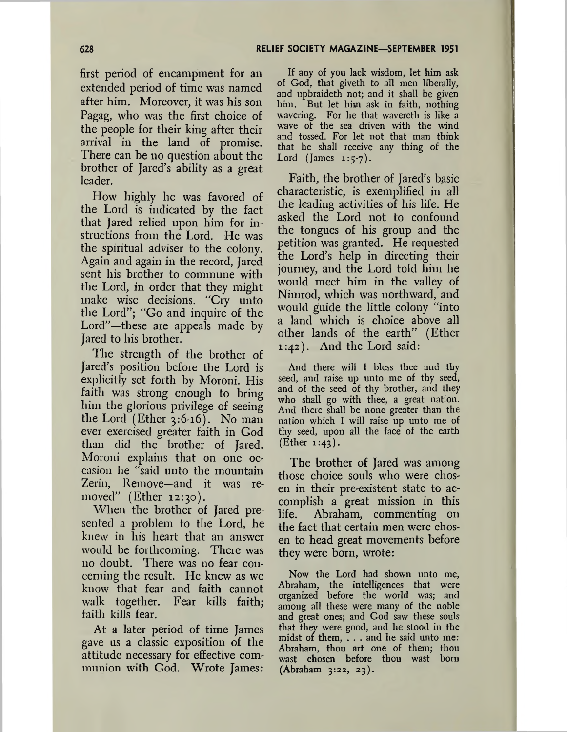first period of encampment for an extended period of time was named after him. Moreover, it was his son Pagag, who was the first choice of the people for their king after their arrival in the land of promise. There can be no question about the brother of Jared's ability as a great leader.

How highly he was favored of the Lord is indicated by the fact that Jared relied upon him for instructions from the Lord. He was the spiritual adviser to the colony. Again and again in the record, Jared sent his brother to commune with the Lord, in order that they might make wise decisions. "Cry unto the Lord"; "Go and inquire of the Lord"—these are appeals made by Jared to his brother.

The strength of the brother of Jared's position before the Lord is explicitly set forth by Moroni. His faith was strong enough to bring him the glorious privilege of seeing the Lord (Ether  $3:6-16$ ). No man ever exercised greater faith in God than did the brother of Jared. Moroni explains that on one occasion he "said unto the mountain Zerin, Remove—and it was removed" (Ether 12:30).

When the brother of Jared presented a problem to the Lord, he knew in his heart that an answer would be forthcoming. There was no doubt. There was no fear concerning the result. He knew as we know that fear and faith cannot walk together. Fear kills faith; faith kills fear.

At a later period of time James gave us a classic exposition of the attitude necessary for effective communion with God. Wrote James:

If any of you lack wisdom, let him ask of God, that giveth to all men liberally, and upbraideth not; and it shall be given him. But let him ask in faith, nothing wavering. For he that wavereth is like a wave of the sea driven with the wind and tossed. For let not that man think that he shall receive any thing of the Lord (James  $1:5-7$ ).

Faith, the brother of Jared's basic characteristic, is exemplified in all the leading activities of his life. He asked the Lord not to confound the tongues of his group and the petition was granted. He requested the Lord's help in directing their journey, and the Lord told him he would meet him in the valley of Nimrod, which was northward, and would guide the little colony "into a land which is choice above all other lands of the earth" (Ether 1:42). And the Lord said:

And there will I bless thee and thy seed, and raise up unto me of thy seed, and of the seed of thy brother, and they who shall go with thee, a great nation. And there shall be none greater than the nation which I will raise up unto me of thy seed, upon all the face of the earth (Ether 1:43).

The brother of Jared was among those choice souls who were chosen in their pre-existent state to accomplish a great mission in this life. Abraham, commenting on the fact that certain men were chosen to head great movements before they were born, wrote:

Now the Lord had shown unto me, Abraham, the intelligences that were organized before the world was; and among all these were many of the noble and great ones; and God saw these souls that they were good, and he stood in the midst of them, . . . and he said unto me: Abraham, thou art one of them; thou wast chosen before thou wast born (Abraham 3:22, 23).